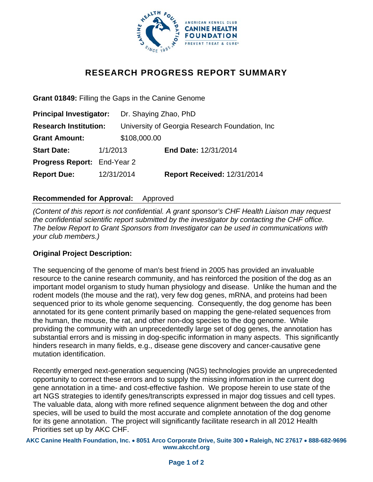

# **RESEARCH PROGRESS REPORT SUMMARY**

**Grant 01849:** Filling the Gaps in the Canine Genome

| <b>Principal Investigator:</b>     |            | Dr. Shaying Zhao, PhD                           |                                    |
|------------------------------------|------------|-------------------------------------------------|------------------------------------|
| <b>Research Institution:</b>       |            | University of Georgia Research Foundation, Inc. |                                    |
| <b>Grant Amount:</b>               |            | \$108,000.00                                    |                                    |
| <b>Start Date:</b>                 | 1/1/2013   |                                                 | End Date: 12/31/2014               |
| <b>Progress Report: End-Year 2</b> |            |                                                 |                                    |
| <b>Report Due:</b>                 | 12/31/2014 |                                                 | <b>Report Received: 12/31/2014</b> |

## **Recommended for Approval:** Approved

*(Content of this report is not confidential. A grant sponsor's CHF Health Liaison may request the confidential scientific report submitted by the investigator by contacting the CHF office. The below Report to Grant Sponsors from Investigator can be used in communications with your club members.)* 

## **Original Project Description:**

The sequencing of the genome of man's best friend in 2005 has provided an invaluable resource to the canine research community, and has reinforced the position of the dog as an important model organism to study human physiology and disease. Unlike the human and the rodent models (the mouse and the rat), very few dog genes, mRNA, and proteins had been sequenced prior to its whole genome sequencing. Consequently, the dog genome has been annotated for its gene content primarily based on mapping the gene-related sequences from the human, the mouse, the rat, and other non-dog species to the dog genome. While providing the community with an unprecedentedly large set of dog genes, the annotation has substantial errors and is missing in dog-specific information in many aspects. This significantly hinders research in many fields, e.g., disease gene discovery and cancer-causative gene mutation identification.

Recently emerged next-generation sequencing (NGS) technologies provide an unprecedented opportunity to correct these errors and to supply the missing information in the current dog gene annotation in a time- and cost-effective fashion. We propose herein to use state of the art NGS strategies to identify genes/transcripts expressed in major dog tissues and cell types. The valuable data, along with more refined sequence alignment between the dog and other species, will be used to build the most accurate and complete annotation of the dog genome for its gene annotation. The project will significantly facilitate research in all 2012 Health Priorities set up by AKC CHF.

**AKC Canine Health Foundation, Inc. 8051 Arco Corporate Drive, Suite 300 Raleigh, NC 27617 888-682-9696 www.akcchf.org**